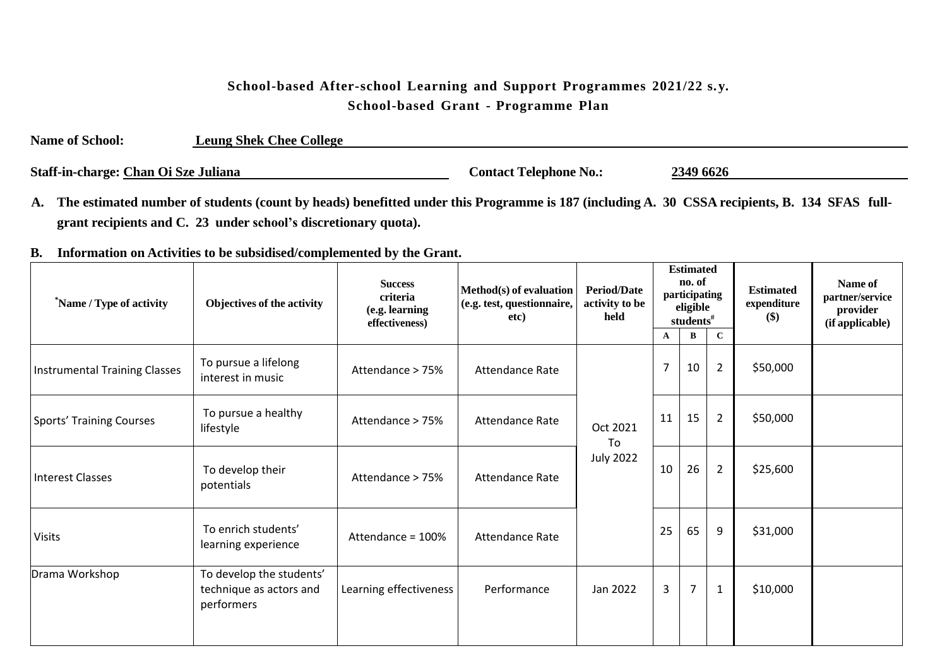## **School-based After-school Learning and Support Programmes 2021/22 s.y. School-based Grant - Programme Plan**

| <b>Name of School:</b>               | <b>Leung Shek Chee College</b> |                               |           |  |
|--------------------------------------|--------------------------------|-------------------------------|-----------|--|
| Staff-in-charge: Chan Oi Sze Juliana |                                | <b>Contact Telephone No.:</b> | 2349 6626 |  |

A. The estimated number of students (count by heads) benefitted under this Programme is 187 (including A. 30 CSSA recipients, B. 134 SFAS full**grant recipients and C. 23 under school's discretionary quota).**

## **B. Information on Activities to be subsidised/complemented by the Grant.**

| *Name / Type of activity             | Objectives of the activity                                        | <b>Success</b><br>criteria<br>(e.g. learning<br>effectiveness) | Method(s) of evaluation<br>(e.g. test, questionnaire,<br>etc) | <b>Period/Date</b><br>activity to be<br>held | <b>Estimated</b><br>no. of<br>participating<br>eligible<br>students# |                |                | <b>Estimated</b><br>expenditure<br>\$) | Name of<br>partner/service<br>provider<br>(if applicable) |
|--------------------------------------|-------------------------------------------------------------------|----------------------------------------------------------------|---------------------------------------------------------------|----------------------------------------------|----------------------------------------------------------------------|----------------|----------------|----------------------------------------|-----------------------------------------------------------|
|                                      |                                                                   |                                                                |                                                               |                                              | $\mathbf A$                                                          | В              | $\mathbf{C}$   |                                        |                                                           |
| <b>Instrumental Training Classes</b> | To pursue a lifelong<br>interest in music                         | Attendance > 75%                                               | <b>Attendance Rate</b>                                        | Oct 2021<br>To<br><b>July 2022</b>           | $\overline{7}$                                                       | 10             | $\overline{2}$ | \$50,000                               |                                                           |
| <b>Sports' Training Courses</b>      | To pursue a healthy<br>lifestyle                                  | Attendance > 75%                                               | Attendance Rate                                               |                                              | 11                                                                   | 15             | $\overline{2}$ | \$50,000                               |                                                           |
| <b>Interest Classes</b>              | To develop their<br>potentials                                    | Attendance > 75%                                               | Attendance Rate                                               |                                              | 10                                                                   | 26             | $\overline{2}$ | \$25,600                               |                                                           |
| <b>Visits</b>                        | To enrich students'<br>learning experience                        | Attendance = 100%                                              | <b>Attendance Rate</b>                                        |                                              | 25                                                                   | 65             | 9              | \$31,000                               |                                                           |
| Drama Workshop                       | To develop the students'<br>technique as actors and<br>performers | Learning effectiveness                                         | Performance                                                   | Jan 2022                                     | 3                                                                    | $\overline{7}$ | $\mathbf{1}$   | \$10,000                               |                                                           |